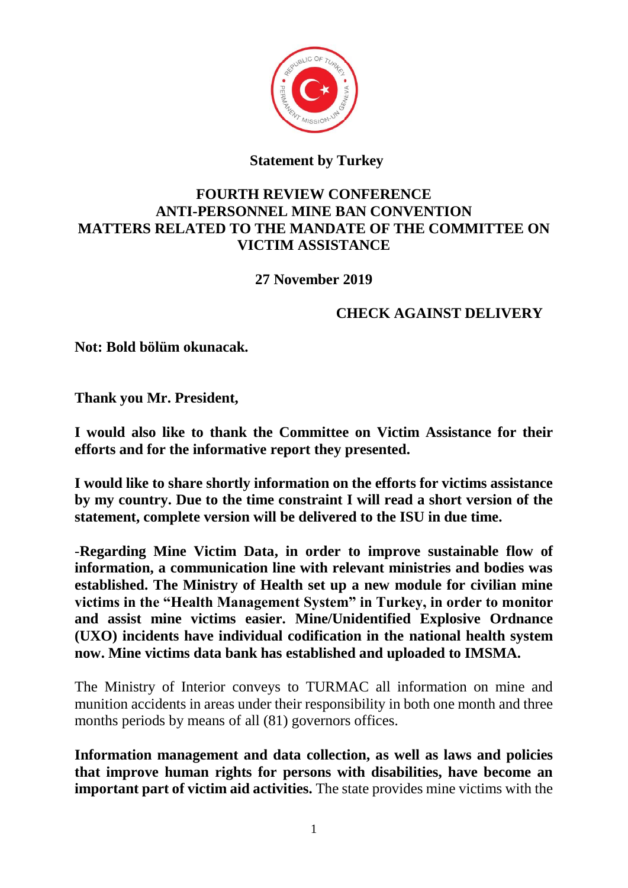

## **Statement by Turkey**

## **FOURTH REVIEW CONFERENCE ANTI-PERSONNEL MINE BAN CONVENTION MATTERS RELATED TO THE MANDATE OF THE COMMITTEE ON VICTIM ASSISTANCE**

**27 November 2019**

## **CHECK AGAINST DELIVERY**

**Not: Bold bölüm okunacak.**

**Thank you Mr. President,**

**I would also like to thank the Committee on Victim Assistance for their efforts and for the informative report they presented.**

**I would like to share shortly information on the efforts for victims assistance by my country. Due to the time constraint I will read a short version of the statement, complete version will be delivered to the ISU in due time.**

-**Regarding Mine Victim Data, in order to improve sustainable flow of information, a communication line with relevant ministries and bodies was established. The Ministry of Health set up a new module for civilian mine victims in the "Health Management System" in Turkey, in order to monitor and assist mine victims easier. Mine/Unidentified Explosive Ordnance (UXO) incidents have individual codification in the national health system now. Mine victims data bank has established and uploaded to IMSMA.**

The Ministry of Interior conveys to TURMAC all information on mine and munition accidents in areas under their responsibility in both one month and three months periods by means of all (81) governors offices.

**Information management and data collection, as well as laws and policies that improve human rights for persons with disabilities, have become an important part of victim aid activities.** The state provides mine victims with the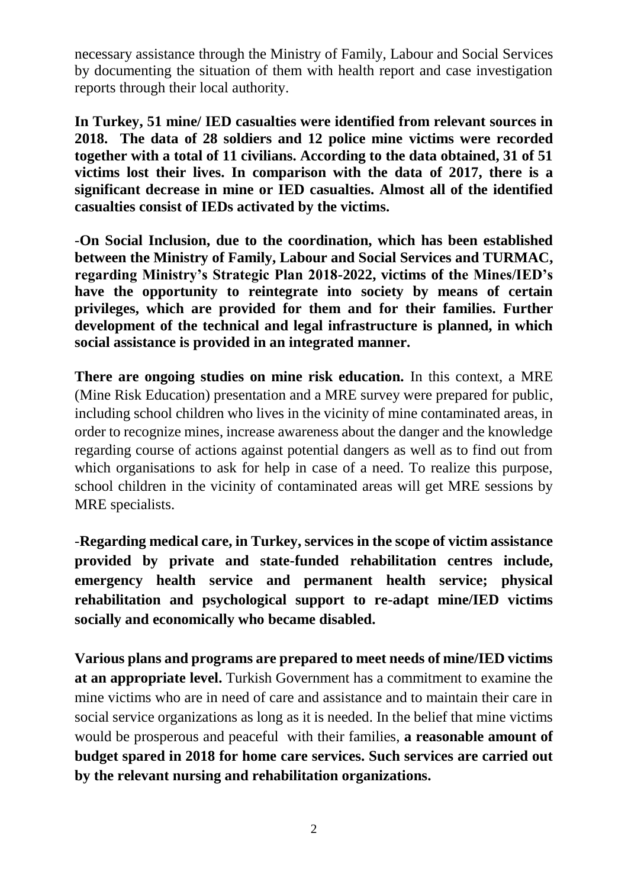necessary assistance through the Ministry of Family, Labour and Social Services by documenting the situation of them with health report and case investigation reports through their local authority.

**In Turkey, 51 mine/ IED casualties were identified from relevant sources in 2018. The data of 28 soldiers and 12 police mine victims were recorded together with a total of 11 civilians. According to the data obtained, 31 of 51 victims lost their lives. In comparison with the data of 2017, there is a significant decrease in mine or IED casualties. Almost all of the identified casualties consist of IEDs activated by the victims.**

-**On Social Inclusion, due to the coordination, which has been established between the Ministry of Family, Labour and Social Services and TURMAC, regarding Ministry's Strategic Plan 2018-2022, victims of the Mines/IED's have the opportunity to reintegrate into society by means of certain privileges, which are provided for them and for their families. Further development of the technical and legal infrastructure is planned, in which social assistance is provided in an integrated manner.**

**There are ongoing studies on mine risk education.** In this context, a MRE (Mine Risk Education) presentation and a MRE survey were prepared for public, including school children who lives in the vicinity of mine contaminated areas, in order to recognize mines, increase awareness about the danger and the knowledge regarding course of actions against potential dangers as well as to find out from which organisations to ask for help in case of a need. To realize this purpose, school children in the vicinity of contaminated areas will get MRE sessions by MRE specialists.

-**Regarding medical care, in Turkey, services in the scope of victim assistance provided by private and state-funded rehabilitation centres include, emergency health service and permanent health service; physical rehabilitation and psychological support to re-adapt mine/IED victims socially and economically who became disabled.** 

**Various plans and programs are prepared to meet needs of mine/IED victims at an appropriate level.** Turkish Government has a commitment to examine the mine victims who are in need of care and assistance and to maintain their care in social service organizations as long as it is needed. In the belief that mine victims would be prosperous and peaceful with their families, **a reasonable amount of budget spared in 2018 for home care services. Such services are carried out by the relevant nursing and rehabilitation organizations.**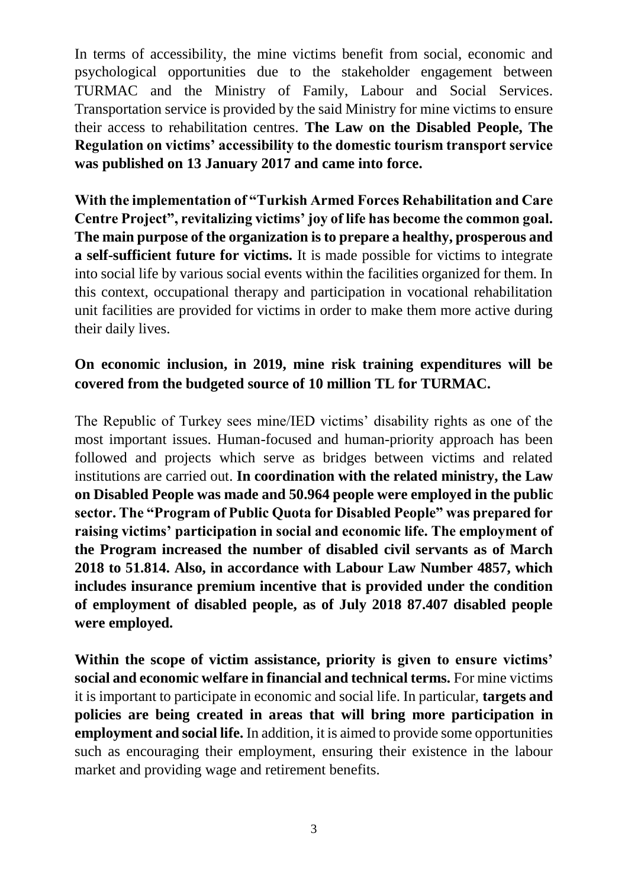In terms of accessibility, the mine victims benefit from social, economic and psychological opportunities due to the stakeholder engagement between TURMAC and the Ministry of Family, Labour and Social Services. Transportation service is provided by the said Ministry for mine victims to ensure their access to rehabilitation centres. **The Law on the Disabled People, The Regulation on victims' accessibility to the domestic tourism transport service was published on 13 January 2017 and came into force.** 

**With the implementation of "Turkish Armed Forces Rehabilitation and Care Centre Project", revitalizing victims' joy of life has become the common goal. The main purpose of the organization is to prepare a healthy, prosperous and a self-sufficient future for victims.** It is made possible for victims to integrate into social life by various social events within the facilities organized for them. In this context, occupational therapy and participation in vocational rehabilitation unit facilities are provided for victims in order to make them more active during their daily lives.

## **On economic inclusion, in 2019, mine risk training expenditures will be covered from the budgeted source of 10 million TL for TURMAC.**

The Republic of Turkey sees mine/IED victims' disability rights as one of the most important issues. Human-focused and human-priority approach has been followed and projects which serve as bridges between victims and related institutions are carried out. **In coordination with the related ministry, the Law on Disabled People was made and 50.964 people were employed in the public sector. The "Program of Public Quota for Disabled People" was prepared for raising victims' participation in social and economic life. The employment of the Program increased the number of disabled civil servants as of March 2018 to 51.814. Also, in accordance with Labour Law Number 4857, which includes insurance premium incentive that is provided under the condition of employment of disabled people, as of July 2018 87.407 disabled people were employed.** 

**Within the scope of victim assistance, priority is given to ensure victims' social and economic welfare in financial and technical terms.** For mine victims it is important to participate in economic and social life. In particular, **targets and policies are being created in areas that will bring more participation in employment and social life.** In addition, it is aimed to provide some opportunities such as encouraging their employment, ensuring their existence in the labour market and providing wage and retirement benefits.